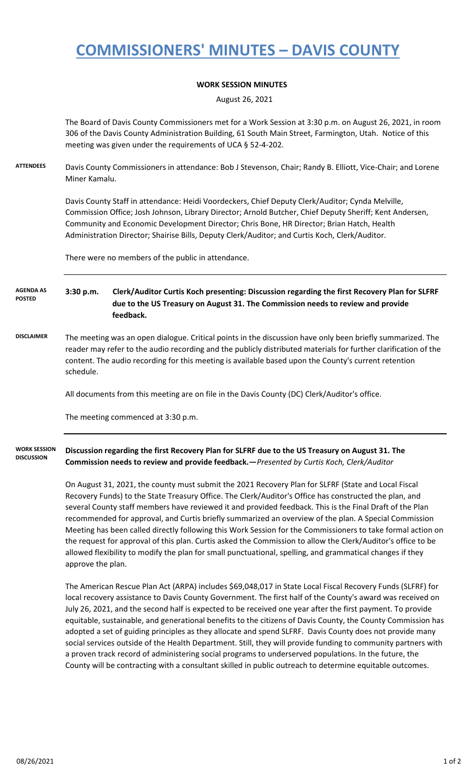## **COMMISSIONERS' MINUTES – DAVIS COUNTY**

## **WORK SESSION MINUTES**

August 26, 2021

The Board of Davis County Commissioners met for a Work Session at 3:30 p.m. on August 26, 2021, in room 306 of the Davis County Administration Building, 61 South Main Street, Farmington, Utah. Notice of this meeting was given under the requirements of UCA § 52-4-202.

**ATTENDEES** Davis County Commissioners in attendance: Bob J Stevenson, Chair; Randy B. Elliott, Vice-Chair; and Lorene Miner Kamalu.

> Davis County Staff in attendance: Heidi Voordeckers, Chief Deputy Clerk/Auditor; Cynda Melville, Commission Office; Josh Johnson, Library Director; Arnold Butcher, Chief Deputy Sheriff; Kent Andersen, Community and Economic Development Director; Chris Bone, HR Director; Brian Hatch, Health Administration Director; Shairise Bills, Deputy Clerk/Auditor; and Curtis Koch, Clerk/Auditor.

There were no members of the public in attendance.

**3:30 p.m. Clerk/Auditor Curtis Koch presenting: Discussion regarding the first Recovery Plan for SLFRF due to the US Treasury on August 31. The Commission needs to review and provide feedback. AGENDA AS POSTED**

**DISCLAIMER** The meeting was an open dialogue. Critical points in the discussion have only been briefly summarized. The reader may refer to the audio recording and the publicly distributed materials for further clarification of the content. The audio recording for this meeting is available based upon the County's current retention schedule.

All documents from this meeting are on file in the Davis County (DC) Clerk/Auditor's office.

The meeting commenced at 3:30 p.m.

**Discussion regarding the first Recovery Plan for SLFRF due to the US Treasury on August 31. The Commission needs to review and provide feedback.—***Presented by Curtis Koch, Clerk/Auditor* **WORK SESSION DISCUSSION**

> On August 31, 2021, the county must submit the 2021 Recovery Plan for SLFRF (State and Local Fiscal Recovery Funds) to the State Treasury Office. The Clerk/Auditor's Office has constructed the plan, and several County staff members have reviewed it and provided feedback. This is the Final Draft of the Plan recommended for approval, and Curtis briefly summarized an overview of the plan. A Special Commission Meeting has been called directly following this Work Session for the Commissioners to take formal action on the request for approval of this plan. Curtis asked the Commission to allow the Clerk/Auditor's office to be allowed flexibility to modify the plan for small punctuational, spelling, and grammatical changes if they approve the plan.

> The American Rescue Plan Act (ARPA) includes \$69,048,017 in State Local Fiscal Recovery Funds (SLFRF) for local recovery assistance to Davis County Government. The first half of the County's award was received on July 26, 2021, and the second half is expected to be received one year after the first payment. To provide equitable, sustainable, and generational benefits to the citizens of Davis County, the County Commission has adopted a set of guiding principles as they allocate and spend SLFRF. Davis County does not provide many social services outside of the Health Department. Still, they will provide funding to community partners with a proven track record of administering social programs to underserved populations. In the future, the County will be contracting with a consultant skilled in public outreach to determine equitable outcomes.